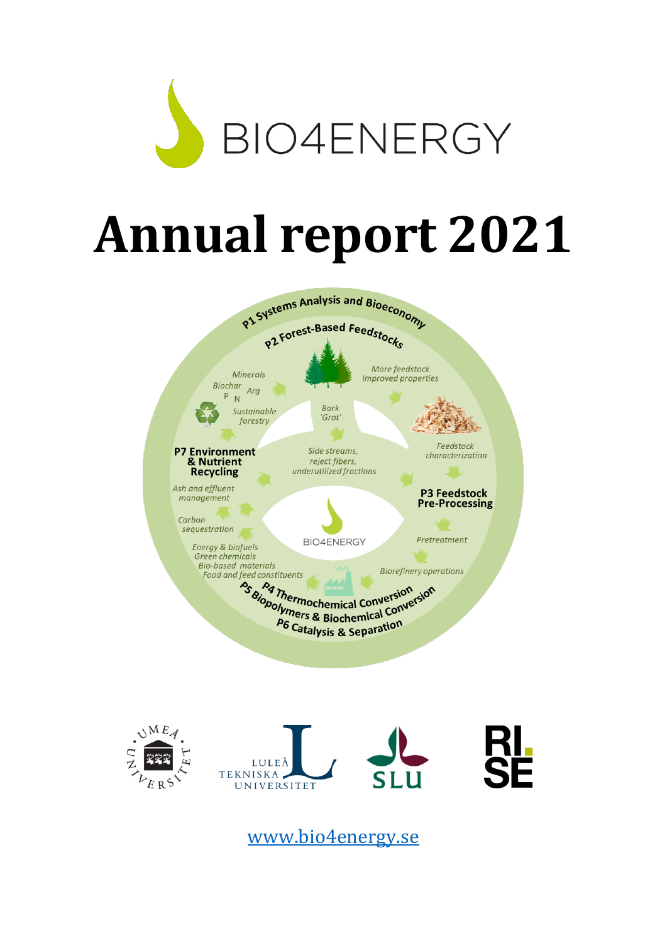

# **Annual report 2021**







[www.bio4energy.se](http://www.bio4energy.se/)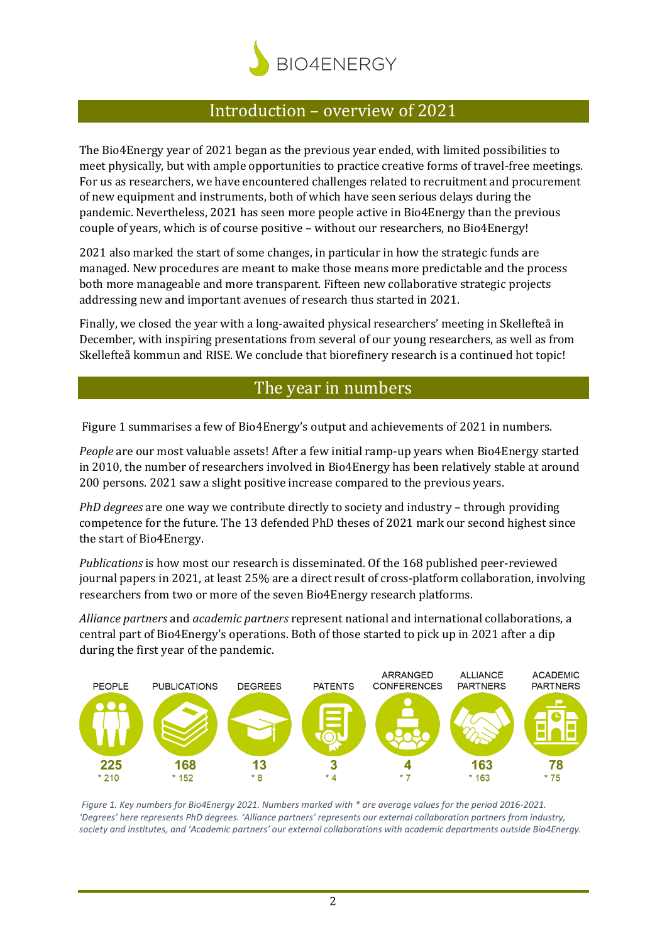

#### Introduction – overview of 2021

The Bio4Energy year of 2021 began as the previous year ended, with limited possibilities to meet physically, but with ample opportunities to practice creative forms of travel-free meetings. For us as researchers, we have encountered challenges related to recruitment and procurement of new equipment and instruments, both of which have seen serious delays during the pandemic. Nevertheless, 2021 has seen more people active in Bio4Energy than the previous couple of years, which is of course positive – without our researchers, no Bio4Energy!

2021 also marked the start of some changes, in particular in how the strategic funds are managed. New procedures are meant to make those means more predictable and the process both more manageable and more transparent. Fifteen new collaborative strategic projects addressing new and important avenues of research thus started in 2021.

Finally, we closed the year with a long-awaited physical researchers' meeting in Skellefteå in December, with inspiring presentations from several of our young researchers, as well as from Skellefteå kommun and RISE. We conclude that biorefinery research is a continued hot topic!

## The year in numbers

[Figure 1](#page-1-0) summarises a few of Bio4Energy's output and achievements of 2021 in numbers.

*People* are our most valuable assets! After a few initial ramp-up years when Bio4Energy started in 2010, the number of researchers involved in Bio4Energy has been relatively stable at around 200 persons. 2021 saw a slight positive increase compared to the previous years.

*PhD degrees* are one way we contribute directly to society and industry – through providing competence for the future. The 13 defended PhD theses of 2021 mark our second highest since the start of Bio4Energy.

*Publications* is how most our research is disseminated. Of the 168 published peer-reviewed journal papers in 2021, at least 25% are a direct result of cross-platform collaboration, involving researchers from two or more of the seven Bio4Energy research platforms.

*Alliance partners* and *academic partners* represent national and international collaborations, a central part of Bio4Energy's operations. Both of those started to pick up in 2021 after a dip during the first year of the pandemic.



<span id="page-1-0"></span>*Figure 1. Key numbers for Bio4Energy 2021. Numbers marked with \* are average values for the period 2016-2021. 'Degrees' here represents PhD degrees. 'Alliance partners' represents our external collaboration partners from industry, society and institutes, and 'Academic partners' our external collaborations with academic departments outside Bio4Energy.*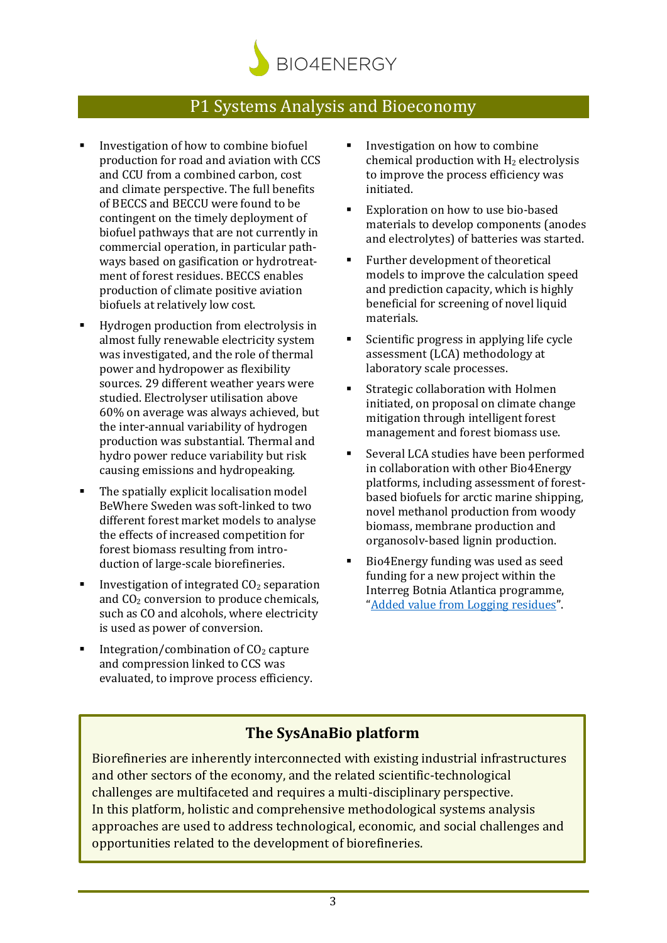

#### P1 Systems Analysis and Bioeconomy

- Investigation of how to combine biofuel production for road and aviation with CCS and CCU from a combined carbon, cost and climate perspective. The full benefits of BECCS and BECCU were found to be contingent on the timely deployment of biofuel pathways that are not currently in commercial operation, in particular pathways based on gasification or hydrotreatment of forest residues. BECCS enables production of climate positive aviation biofuels at relatively low cost.
- Hydrogen production from electrolysis in almost fully renewable electricity system was investigated, and the role of thermal power and hydropower as flexibility sources. 29 different weather years were studied. Electrolyser utilisation above 60% on average was always achieved, but the inter-annual variability of hydrogen production was substantial. Thermal and hydro power reduce variability but risk causing emissions and hydropeaking.
- The spatially explicit localisation model BeWhere Sweden was soft-linked to two different forest market models to analyse the effects of increased competition for forest biomass resulting from introduction of large-scale biorefineries.
- Investigation of integrated  $CO<sub>2</sub>$  separation and  $CO<sub>2</sub>$  conversion to produce chemicals, such as CO and alcohols, where electricity is used as power of conversion.
- Integration/combination of  $CO<sub>2</sub>$  capture and compression linked to CCS was evaluated, to improve process efficiency.
- Investigation on how to combine chemical production with  $H_2$  electrolysis to improve the process efficiency was initiated.
- Exploration on how to use bio-based materials to develop components (anodes and electrolytes) of batteries was started.
- Further development of theoretical models to improve the calculation speed and prediction capacity, which is highly beneficial for screening of novel liquid materials.
- Scientific progress in applying life cycle assessment (LCA) methodology at laboratory scale processes.
- Strategic collaboration with Holmen initiated, on proposal on climate change mitigation through intelligent forest management and forest biomass use.
- Several LCA studies have been performed in collaboration with other Bio4Energy platforms, including assessment of forestbased biofuels for arctic marine shipping, novel methanol production from woody biomass, membrane production and organosolv-based lignin production.
- Bio4Energy funding was used as seed funding for a new project within the Interreg Botnia Atlantica programme, "[Added value from Logging residues](https://www.botnia-atlantica.eu/om-beviljade-projekt/projektbank/added-value-from-logging-residues)".

#### **The SysAnaBio platform**

Biorefineries are inherently interconnected with existing industrial infrastructures and other sectors of the economy, and the related scientific-technological challenges are multifaceted and requires a multi-disciplinary perspective. In this platform, holistic and comprehensive methodological systems analysis approaches are used to address technological, economic, and social challenges and opportunities related to the development of biorefineries.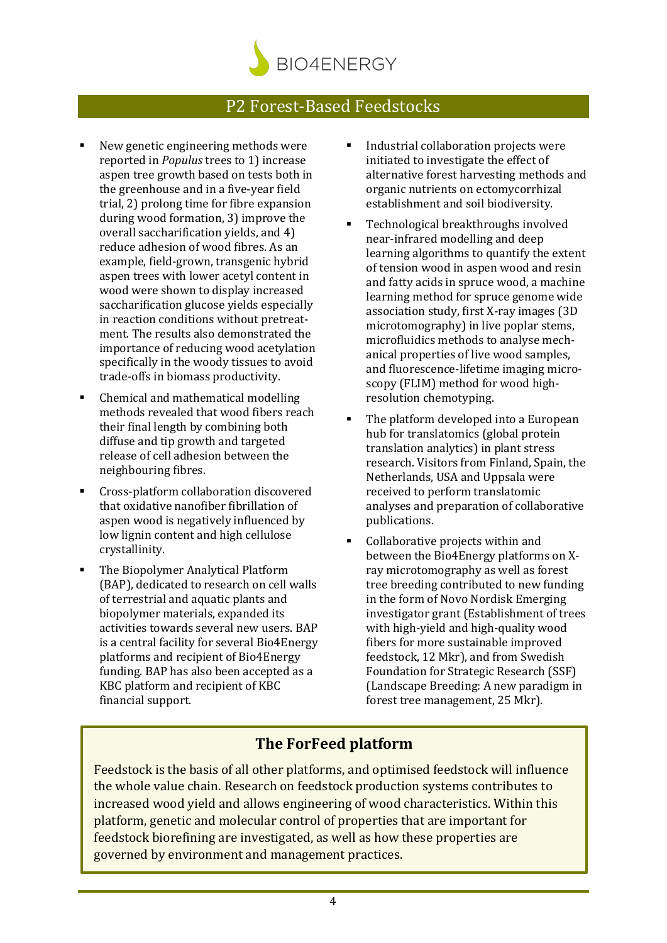

#### P2 Forest-Based Feedstocks

- New genetic engineering methods were reported in *Populus* trees to 1) increase aspen tree growth based on tests both in the greenhouse and in a five-year field trial, 2) prolong time for fibre expansion during wood formation, 3) improve the overall saccharification yields, and 4) reduce adhesion of wood fibres. As an example, field-grown, transgenic hybrid aspen trees with lower acetyl content in wood were shown to display increased saccharification glucose yields especially in reaction conditions without pretreatment. The results also demonstrated the importance of reducing wood acetylation specifically in the woody tissues to avoid trade-offs in biomass productivity.
- Chemical and mathematical modelling methods revealed that wood fibers reach their final length by combining both diffuse and tip growth and targeted release of cell adhesion between the neighbouring fibres.
- Cross-platform collaboration discovered that oxidative nanofiber fibrillation of aspen wood is negatively influenced by low lignin content and high cellulose crystallinity.
- The Biopolymer Analytical Platform (BAP), dedicated to research on cell walls of terrestrial and aquatic plants and biopolymer materials, expanded its activities towards several new users. BAP is a central facility for several Bio4Energy platforms and recipient of Bio4Energy funding. BAP has also been accepted as a KBC platform and recipient of KBC financial support.
- Industrial collaboration projects were initiated to investigate the effect of alternative forest harvesting methods and organic nutrients on ectomycorrhizal establishment and soil biodiversity.
- Technological breakthroughs involved near-infrared modelling and deep learning algorithms to quantify the extent of tension wood in aspen wood and resin and fatty acids in spruce wood, a machine learning method for spruce genome wide association study, first X-ray images (3D microtomography) in live poplar stems, microfluidics methods to analyse mechanical properties of live wood samples, and fluorescence-lifetime imaging microscopy (FLIM) method for wood highresolution chemotyping.
- The platform developed into a European hub for translatomics (global protein translation analytics) in plant stress research. Visitors from Finland, Spain, the Netherlands, USA and Uppsala were received to perform translatomic analyses and preparation of collaborative publications.
- Collaborative projects within and between the Bio4Energy platforms on Xray microtomography as well as forest tree breeding contributed to new funding in the form of Novo Nordisk Emerging investigator grant (Establishment of trees with high-yield and high-quality wood fibers for more sustainable improved feedstock, 12 Mkr), and from Swedish Foundation for Strategic Research (SSF) (Landscape Breeding: A new paradigm in forest tree management, 25 Mkr).

#### **The ForFeed platform**

Feedstock is the basis of all other platforms, and optimised feedstock will influence the whole value chain. Research on feedstock production systems contributes to increased wood yield and allows engineering of wood characteristics. Within this platform, genetic and molecular control of properties that are important for feedstock biorefining are investigated, as well as how these properties are governed by environment and management practices.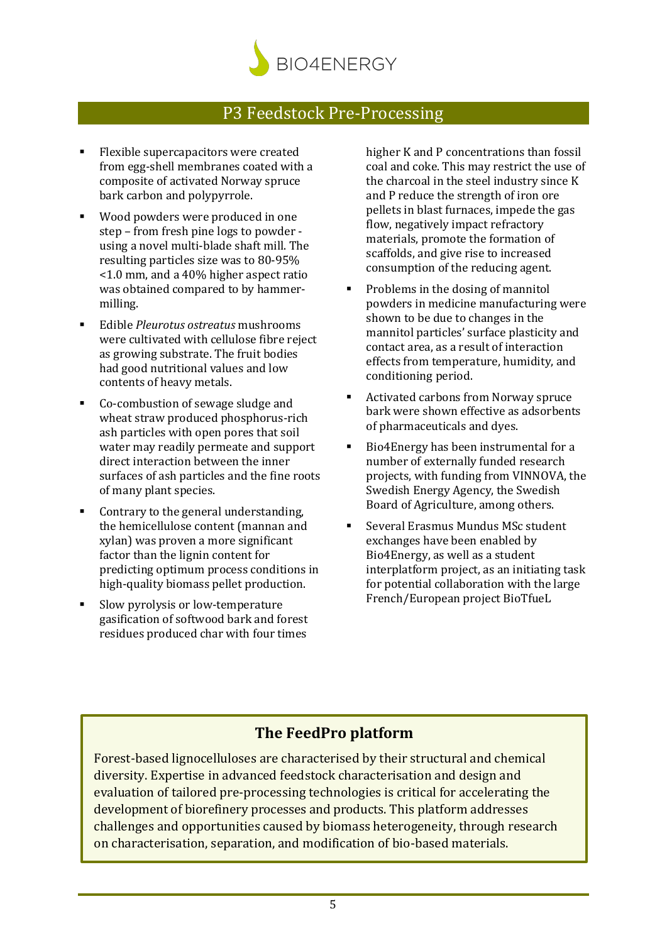

#### P3 Feedstock Pre-Processing

- Flexible supercapacitors were created from egg-shell membranes coated with a composite of activated Norway spruce bark carbon and polypyrrole.
- Wood powders were produced in one step – from fresh pine logs to powder using a novel multi-blade shaft mill. The resulting particles size was to 80-95% <1.0 mm, and a 40% higher aspect ratio was obtained compared to by hammermilling.
- Edible *Pleurotus ostreatus* mushrooms were cultivated with cellulose fibre reject as growing substrate. The fruit bodies had good nutritional values and low contents of heavy metals.
- Co-combustion of sewage sludge and wheat straw produced phosphorus-rich ash particles with open pores that soil water may readily permeate and support direct interaction between the inner surfaces of ash particles and the fine roots of many plant species.
- Contrary to the general understanding. the hemicellulose content (mannan and xylan) was proven a more significant factor than the lignin content for predicting optimum process conditions in high-quality biomass pellet production.
- Slow pyrolysis or low-temperature gasification of softwood bark and forest residues produced char with four times

higher K and P concentrations than fossil coal and coke. This may restrict the use of the charcoal in the steel industry since K and P reduce the strength of iron ore pellets in blast furnaces, impede the gas flow, negatively impact refractory materials, promote the formation of scaffolds, and give rise to increased consumption of the reducing agent.

- Problems in the dosing of mannitol powders in medicine manufacturing were shown to be due to changes in the mannitol particles' surface plasticity and contact area, as a result of interaction effects from temperature, humidity, and conditioning period.
- Activated carbons from Norway spruce bark were shown effective as adsorbents of pharmaceuticals and dyes.
- Bio4Energy has been instrumental for a number of externally funded research projects, with funding from VINNOVA, the Swedish Energy Agency, the Swedish Board of Agriculture, among others.
- Several Erasmus Mundus MSc student exchanges have been enabled by Bio4Energy, as well as a student interplatform project, as an initiating task for potential collaboration with the large French/European project BioTfueL

#### **The FeedPro platform**

Forest-based lignocelluloses are characterised by their structural and chemical diversity. Expertise in advanced feedstock characterisation and design and evaluation of tailored pre-processing technologies is critical for accelerating the development of biorefinery processes and products. This platform addresses challenges and opportunities caused by biomass heterogeneity, through research on characterisation, separation, and modification of bio-based materials.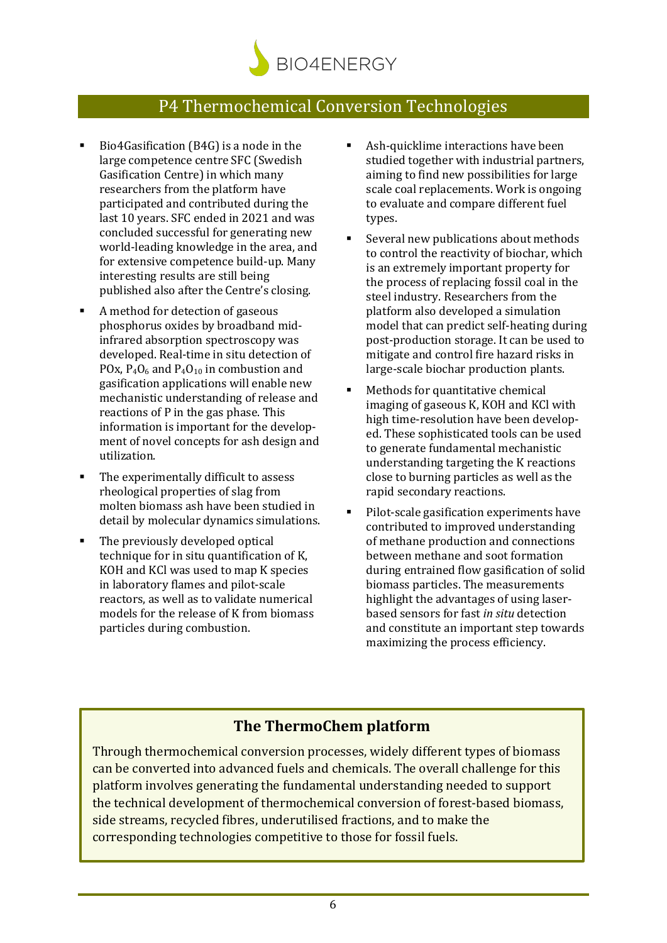

## P4 Thermochemical Conversion Technologies

- Bio4Gasification (B4G) is a node in the large competence centre SFC (Swedish Gasification Centre) in which many researchers from the platform have participated and contributed during the last 10 years. SFC ended in 2021 and was concluded successful for generating new world-leading knowledge in the area, and for extensive competence build-up. Many interesting results are still being published also after the Centre's closing.
- A method for detection of gaseous phosphorus oxides by broadband midinfrared absorption spectroscopy was developed. Real-time in situ detection of POx,  $P_4O_6$  and  $P_4O_{10}$  in combustion and gasification applications will enable new mechanistic understanding of release and reactions of P in the gas phase. This information is important for the development of novel concepts for ash design and utilization.
- The experimentally difficult to assess rheological properties of slag from molten biomass ash have been studied in detail by molecular dynamics simulations.
- The previously developed optical technique for in situ quantification of K, KOH and KCl was used to map K species in laboratory flames and pilot-scale reactors, as well as to validate numerical models for the release of K from biomass particles during combustion.
- Ash-quicklime interactions have been studied together with industrial partners, aiming to find new possibilities for large scale coal replacements. Work is ongoing to evaluate and compare different fuel types.
- Several new publications about methods to control the reactivity of biochar, which is an extremely important property for the process of replacing fossil coal in the steel industry. Researchers from the platform also developed a simulation model that can predict self-heating during post-production storage. It can be used to mitigate and control fire hazard risks in large-scale biochar production plants.
- Methods for quantitative chemical imaging of gaseous K, KOH and KCl with high time-resolution have been developed. These sophisticated tools can be used to generate fundamental mechanistic understanding targeting the K reactions close to burning particles as well as the rapid secondary reactions.
- Pilot-scale gasification experiments have contributed to improved understanding of methane production and connections between methane and soot formation during entrained flow gasification of solid biomass particles. The measurements highlight the advantages of using laserbased sensors for fast *in situ* detection and constitute an important step towards maximizing the process efficiency.

#### **The ThermoChem platform**

Through thermochemical conversion processes, widely different types of biomass can be converted into advanced fuels and chemicals. The overall challenge for this platform involves generating the fundamental understanding needed to support the technical development of thermochemical conversion of forest-based biomass, side streams, recycled fibres, underutilised fractions, and to make the corresponding technologies competitive to those for fossil fuels.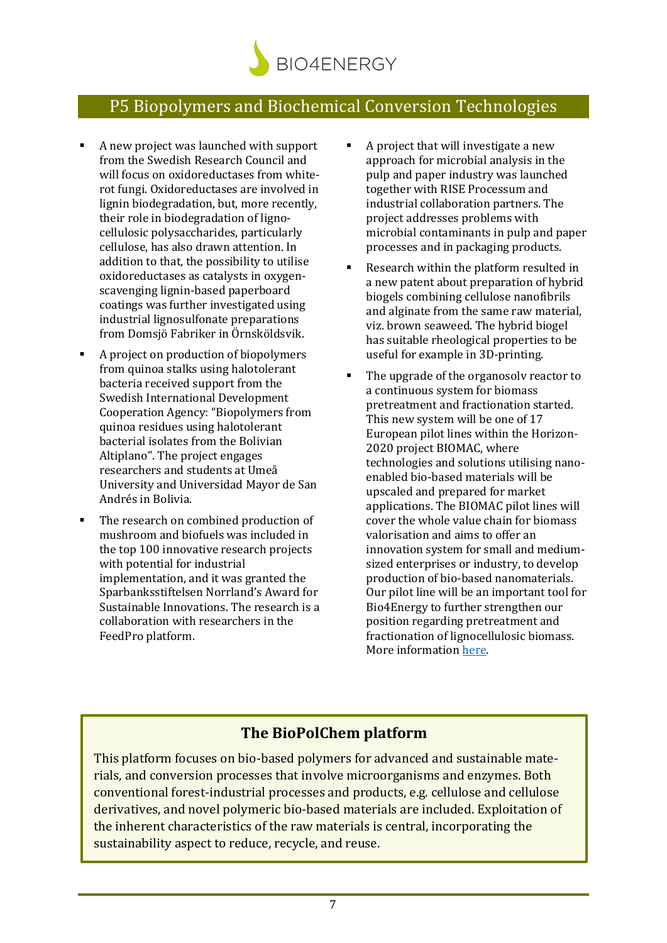

# P5 Biopolymers and Biochemical Conversion Technologies

- A new project was launched with support from the Swedish Research Council and will focus on oxidoreductases from whiterot fungi. Oxidoreductases are involved in lignin biodegradation, but, more recently, their role in biodegradation of lignocellulosic polysaccharides, particularly cellulose, has also drawn attention. In addition to that, the possibility to utilise oxidoreductases as catalysts in oxygenscavenging lignin-based paperboard coatings was further investigated using industrial lignosulfonate preparations from Domsjö Fabriker in Örnsköldsvik.
- A project on production of biopolymers from quinoa stalks using halotolerant bacteria received support from the Swedish International Development Cooperation Agency: "Biopolymers from quinoa residues using halotolerant bacterial isolates from the Bolivian Altiplano". The project engages researchers and students at Umeå University and Universidad Mayor de San Andrés in Bolivia.
- The research on combined production of mushroom and biofuels was included in the top 100 innovative research projects with potential for industrial implementation, and it was granted the Sparbanksstiftelsen Norrland's Award for Sustainable Innovations. The research is a collaboration with researchers in the FeedPro platform.
- A project that will investigate a new approach for microbial analysis in the pulp and paper industry was launched together with RISE Processum and industrial collaboration partners. The project addresses problems with microbial contaminants in pulp and paper processes and in packaging products.
- Research within the platform resulted in a new patent about preparation of hybrid biogels combining cellulose nanofibrils and alginate from the same raw material, viz. brown seaweed. The hybrid biogel has suitable rheological properties to be useful for example in 3D-printing.
- The upgrade of the organosoly reactor to a continuous system for biomass pretreatment and fractionation started. This new system will be one of 17 European pilot lines within the Horizon-2020 project BIOMAC, where technologies and solutions utilising nanoenabled bio-based materials will be upscaled and prepared for market applications. The BIOMAC pilot lines will cover the whole value chain for biomass valorisation and aims to offer an innovation system for small and mediumsized enterprises or industry, to develop production of bio-based nanomaterials. Our pilot line will be an important tool for Bio4Energy to further strengthen our position regarding pretreatment and fractionation of lignocellulosic biomass. More information [here.](https://www.biomac-oitb.eu/en/static/pl_1)

## **The BioPolChem platform**

This platform focuses on bio-based polymers for advanced and sustainable materials, and conversion processes that involve microorganisms and enzymes. Both conventional forest-industrial processes and products, e.g. cellulose and cellulose derivatives, and novel polymeric bio-based materials are included. Exploitation of the inherent characteristics of the raw materials is central, incorporating the sustainability aspect to reduce, recycle, and reuse.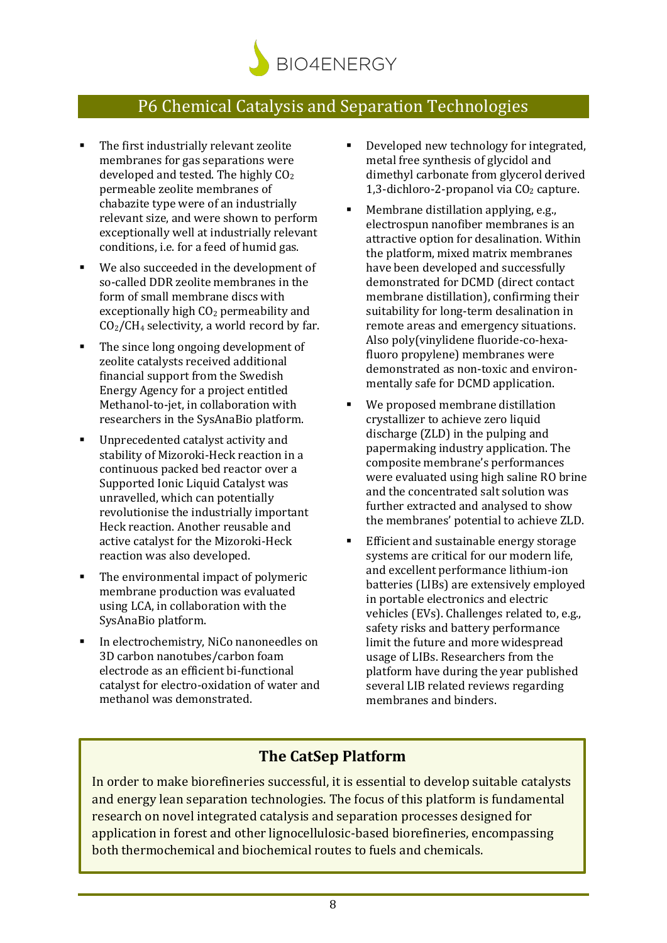

## P6 Chemical Catalysis and Separation Technologies

- The first industrially relevant zeolite membranes for gas separations were developed and tested. The highly  $CO<sub>2</sub>$ permeable zeolite membranes of chabazite type were of an industrially relevant size, and were shown to perform exceptionally well at industrially relevant conditions, i.e. for a feed of humid gas.
- We also succeeded in the development of so-called DDR zeolite membranes in the form of small membrane discs with exceptionally high  $CO<sub>2</sub>$  permeability and  $CO<sub>2</sub>/CH<sub>4</sub>$  selectivity, a world record by far.
- The since long ongoing development of zeolite catalysts received additional financial support from the Swedish Energy Agency for a project entitled Methanol-to-jet, in collaboration with researchers in the SysAnaBio platform.
- Unprecedented catalyst activity and stability of Mizoroki-Heck reaction in a continuous packed bed reactor over a Supported Ionic Liquid Catalyst was unravelled, which can potentially revolutionise the industrially important Heck reaction. Another reusable and active catalyst for the Mizoroki-Heck reaction was also developed.
- The environmental impact of polymeric membrane production was evaluated using LCA, in collaboration with the SysAnaBio platform.
- In electrochemistry, NiCo nanoneedles on 3D carbon nanotubes/carbon foam electrode as an efficient bi-functional catalyst for electro-oxidation of water and methanol was demonstrated.
- Developed new technology for integrated, metal free synthesis of glycidol and dimethyl carbonate from glycerol derived 1,3-dichloro-2-propanol via  $CO<sub>2</sub>$  capture.
- Membrane distillation applying, e.g., electrospun nanofiber membranes is an attractive option for desalination. Within the platform, mixed matrix membranes have been developed and successfully demonstrated for DCMD (direct contact membrane distillation), confirming their suitability for long-term desalination in remote areas and emergency situations. Also poly(vinylidene fluoride-co-hexafluoro propylene) membranes were demonstrated as non-toxic and environmentally safe for DCMD application.
- We proposed membrane distillation crystallizer to achieve zero liquid discharge (ZLD) in the pulping and papermaking industry application. The composite membrane's performances were evaluated using high saline RO brine and the concentrated salt solution was further extracted and analysed to show the membranes' potential to achieve ZLD.
- Efficient and sustainable energy storage systems are critical for our modern life, and excellent performance lithium-ion batteries (LIBs) are extensively employed in portable electronics and electric vehicles (EVs). Challenges related to, e.g., safety risks and battery performance limit the future and more widespread usage of LIBs. Researchers from the platform have during the year published several LIB related reviews regarding membranes and binders.

#### **The CatSep Platform**

In order to make biorefineries successful, it is essential to develop suitable catalysts and energy lean separation technologies. The focus of this platform is fundamental research on novel integrated catalysis and separation processes designed for application in forest and other lignocellulosic-based biorefineries, encompassing both thermochemical and biochemical routes to fuels and chemicals.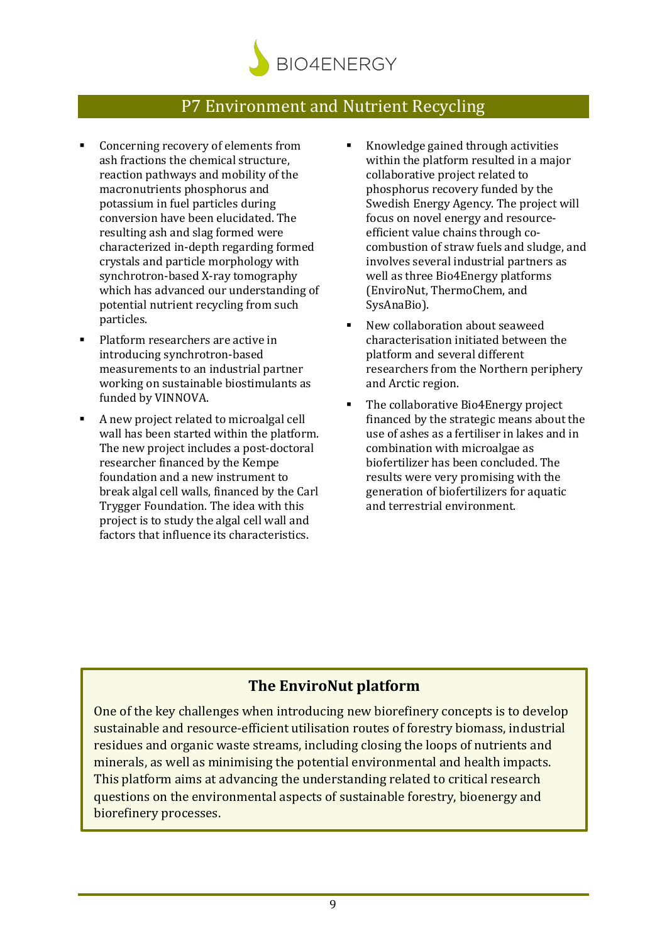

## P7 Environment and Nutrient Recycling

- Concerning recovery of elements from ash fractions the chemical structure, reaction pathways and mobility of the macronutrients phosphorus and potassium in fuel particles during conversion have been elucidated. The resulting ash and slag formed were characterized in-depth regarding formed crystals and particle morphology with synchrotron-based X-ray tomography which has advanced our understanding of potential nutrient recycling from such particles.
- Platform researchers are active in introducing synchrotron-based measurements to an industrial partner working on sustainable biostimulants as funded by VINNOVA.
- A new project related to microalgal cell wall has been started within the platform. The new project includes a post-doctoral researcher financed by the Kempe foundation and a new instrument to break algal cell walls, financed by the Carl Trygger Foundation. The idea with this project is to study the algal cell wall and factors that influence its characteristics.
- Knowledge gained through activities within the platform resulted in a major collaborative project related to phosphorus recovery funded by the Swedish Energy Agency. The project will focus on novel energy and resourceefficient value chains through cocombustion of straw fuels and sludge, and involves several industrial partners as well as three Bio4Energy platforms (EnviroNut, ThermoChem, and SysAnaBio).
- New collaboration about seaweed characterisation initiated between the platform and several different researchers from the Northern periphery and Arctic region.
- The collaborative Bio4Energy project financed by the strategic means about the use of ashes as a fertiliser in lakes and in combination with microalgae as biofertilizer has been concluded. The results were very promising with the generation of biofertilizers for aquatic and terrestrial environment.

#### **The EnviroNut platform**

One of the key challenges when introducing new biorefinery concepts is to develop sustainable and resource-efficient utilisation routes of forestry biomass, industrial residues and organic waste streams, including closing the loops of nutrients and minerals, as well as minimising the potential environmental and health impacts. This platform aims at advancing the understanding related to critical research questions on the environmental aspects of sustainable forestry, bioenergy and biorefinery processes.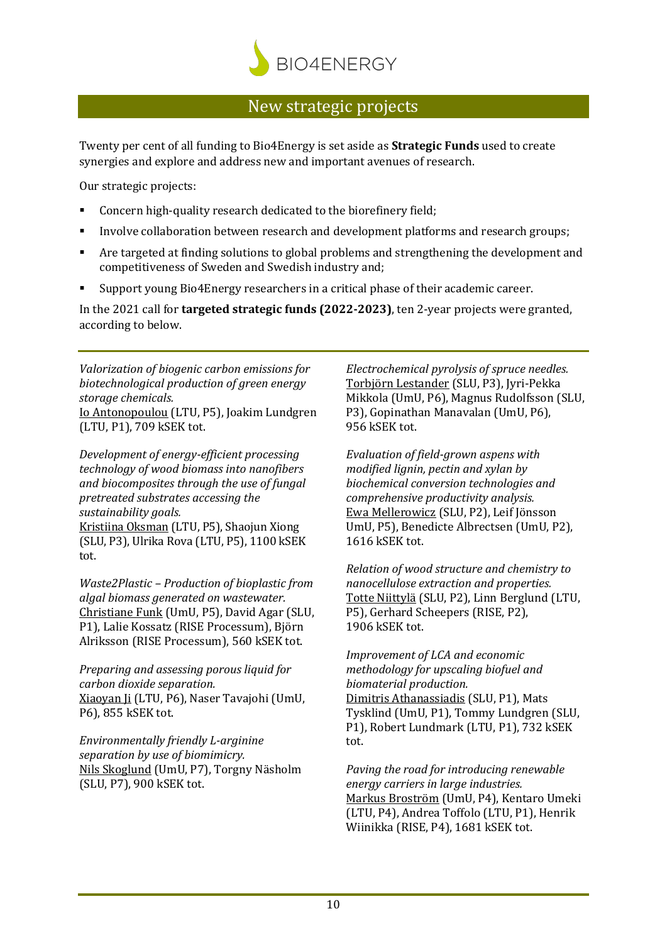

### New strategic projects

Twenty per cent of all funding to Bio4Energy is set aside as **Strategic Funds** used to create synergies and explore and address new and important avenues of research.

Our strategic projects:

- Concern high-quality research dedicated to the biorefinery field:
- Involve collaboration between research and development platforms and research groups;
- Are targeted at finding solutions to global problems and strengthening the development and competitiveness of Sweden and Swedish industry and;
- Support young Bio4Energy researchers in a critical phase of their academic career.

In the 2021 call for **targeted strategic funds (2022-2023)**, ten 2-year projects were granted, according to below.

*Valorization of biogenic carbon emissions for biotechnological production of green energy storage chemicals.* Io Antonopoulou (LTU, P5), Joakim Lundgren (LTU, P1), 709 kSEK tot.

*Development of energy-efficient processing technology of wood biomass into nanofibers and biocomposites through the use of fungal pretreated substrates accessing the sustainability goals.* Kristiina Oksman (LTU, P5), Shaojun Xiong (SLU, P3), Ulrika Rova (LTU, P5), 1100 kSEK tot.

*Waste2Plastic – Production of bioplastic from algal biomass generated on wastewater.* Christiane Funk (UmU, P5), David Agar (SLU, P1), Lalie Kossatz (RISE Processum), Björn Alriksson (RISE Processum), 560 kSEK tot.

*Preparing and assessing porous liquid for carbon dioxide separation.*  Xiaoyan Ji (LTU, P6), Naser Tavajohi (UmU, P6), 855 kSEK tot.

*Environmentally friendly L-arginine separation by use of biomimicry.* Nils Skoglund (UmU, P7), Torgny Näsholm (SLU, P7), 900 kSEK tot.

*Electrochemical pyrolysis of spruce needles.*  Torbjörn Lestander (SLU, P3), Jyri-Pekka Mikkola (UmU, P6), Magnus Rudolfsson (SLU, P3), Gopinathan Manavalan (UmU, P6), 956 kSEK tot.

*Evaluation of field-grown aspens with modified lignin, pectin and xylan by biochemical conversion technologies and comprehensive productivity analysis.*  Ewa Mellerowicz (SLU, P2), Leif Jönsson UmU, P5), Benedicte Albrectsen (UmU, P2), 1616 kSEK tot.

*Relation of wood structure and chemistry to nanocellulose extraction and properties.*  Totte Niittylä (SLU, P2), Linn Berglund (LTU, P5), Gerhard Scheepers (RISE, P2), 1906 kSEK tot.

*Improvement of LCA and economic methodology for upscaling biofuel and biomaterial production.* Dimitris Athanassiadis (SLU, P1), Mats Tysklind (UmU, P1), Tommy Lundgren (SLU, P1), Robert Lundmark (LTU, P1), 732 kSEK tot.

*Paving the road for introducing renewable energy carriers in large industries.* Markus Broström (UmU, P4), Kentaro Umeki (LTU, P4), Andrea Toffolo (LTU, P1), Henrik Wiinikka (RISE, P4), 1681 kSEK tot.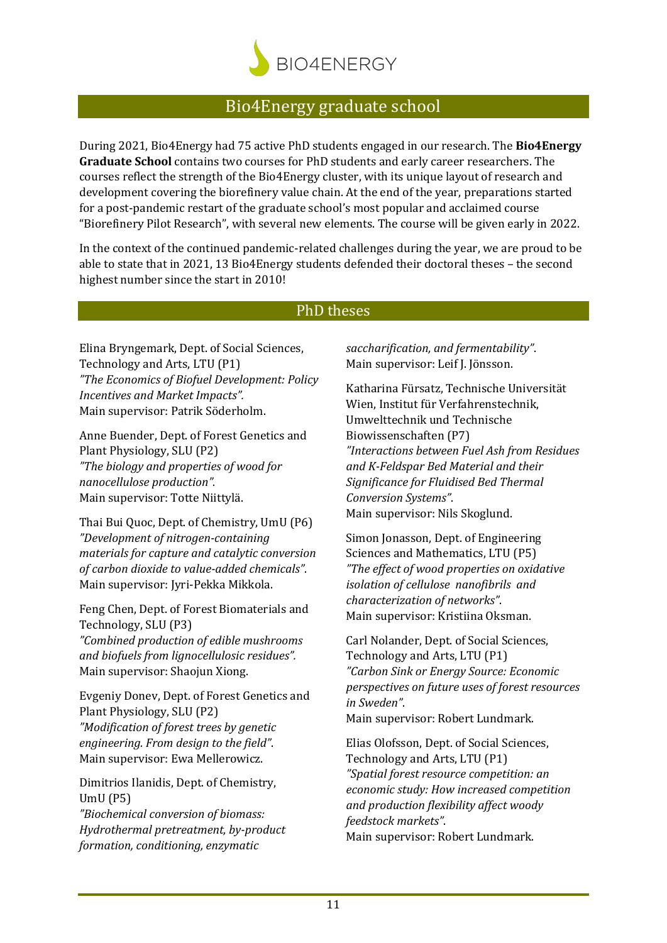

### Bio4Energy graduate school

During 2021, Bio4Energy had 75 active PhD students engaged in our research. The **Bio4Energy Graduate School** contains two courses for PhD students and early career researchers. The courses reflect the strength of the Bio4Energy cluster, with its unique layout of research and development covering the biorefinery value chain. At the end of the year, preparations started for a post-pandemic restart of the graduate school's most popular and acclaimed course "Biorefinery Pilot Research", with several new elements. The course will be given early in 2022.

In the context of the continued pandemic-related challenges during the year, we are proud to be able to state that in 2021, 13 Bio4Energy students defended their doctoral theses – the second highest number since the start in 2010!

#### PhD theses

Elina Bryngemark, Dept. of Social Sciences, Technology and Arts, LTU (P1) *"The Economics of Biofuel Development: Policy Incentives and Market Impacts".* Main supervisor: Patrik Söderholm.

Anne Buender, Dept. of Forest Genetics and Plant Physiology, SLU (P2) *"The biology and properties of wood for nanocellulose production".* Main supervisor: Totte Niittylä.

Thai Bui Quoc, Dept. of Chemistry, UmU (P6) *"Development of nitrogen-containing materials for capture and catalytic conversion of carbon dioxide to value-added chemicals"*. Main supervisor: Jyri-Pekka Mikkola.

Feng Chen, Dept. of Forest Biomaterials and Technology, SLU (P3) *"Combined production of edible mushrooms and biofuels from lignocellulosic residues".* Main supervisor: Shaojun Xiong.

Evgeniy Donev, Dept. of Forest Genetics and Plant Physiology, SLU (P2) *"Modification of forest trees by genetic engineering. From design to the field"*. Main supervisor: Ewa Mellerowicz.

Dimitrios Ilanidis, Dept. of Chemistry, UmU (P5)

*"Biochemical conversion of biomass: Hydrothermal pretreatment, by-product formation, conditioning, enzymatic* 

*saccharification, and fermentability"*. Main supervisor: Leif J. Jönsson.

Katharina Fürsatz, Technische Universität Wien, Institut für Verfahrenstechnik, Umwelttechnik und Technische Biowissenschaften (P7) *"Interactions between Fuel Ash from Residues and K-Feldspar Bed Material and their Significance for Fluidised Bed Thermal Conversion Systems"*. Main supervisor: Nils Skoglund.

Simon Jonasson, Dept. of Engineering Sciences and Mathematics, LTU (P5) *"The effect of wood properties on oxidative isolation of cellulose nanofibrils and characterization of networks"*. Main supervisor: Kristiina Oksman.

Carl Nolander, Dept. of Social Sciences, Technology and Arts, LTU (P1) *"Carbon Sink or Energy Source: Economic perspectives on future uses of forest resources in Sweden"*. Main supervisor: Robert Lundmark.

Elias Olofsson, Dept. of Social Sciences, Technology and Arts, LTU (P1) *"Spatial forest resource competition: an economic study: How increased competition and production flexibility affect woody feedstock markets"*. Main supervisor: Robert Lundmark.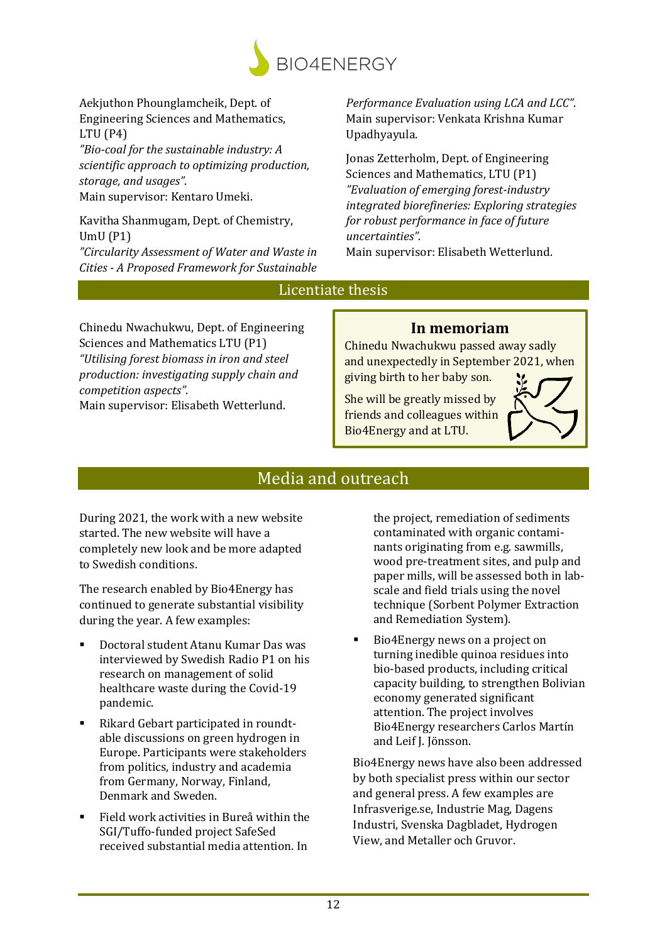

Aekjuthon Phounglamcheik, Dept. of Engineering Sciences and Mathematics, LTU (P4)

*"Bio-coal for the sustainable industry: A scientific approach to optimizing production, storage, and usages"*. Main supervisor: Kentaro Umeki.

Kavitha Shanmugam, Dept. of Chemistry, UmU (P1) *"Circularity Assessment of Water and Waste in Cities - A Proposed Framework for Sustainable*  *Performance Evaluation using LCA and LCC"*. Main supervisor: Venkata Krishna Kumar Upadhyayula.

Jonas Zetterholm, Dept. of Engineering Sciences and Mathematics, LTU (P1) *"Evaluation of emerging forest-industry integrated biorefineries: Exploring strategies for robust performance in face of future uncertainties"*.

Main supervisor: Elisabeth Wetterlund.

#### Licentiate thesis

Chinedu Nwachukwu, Dept. of Engineering Sciences and Mathematics LTU (P1) *"Utilising forest biomass in iron and steel production: investigating supply chain and competition aspects"*. Main supervisor: Elisabeth Wetterlund.

#### **In memoriam**

Chinedu Nwachukwu passed away sadly and unexpectedly in September 2021, when giving birth to her baby son.

She will be greatly missed by friends and colleagues within Bio4Energy and at LTU.



## Media and outreach

During 2021, the work with a new website started. The new website will have a completely new look and be more adapted to Swedish conditions.

The research enabled by Bio4Energy has continued to generate substantial visibility during the year. A few examples:

- Doctoral student Atanu Kumar Das was interviewed by Swedish Radio P1 on his research on management of solid healthcare waste during the Covid-19 pandemic.
- Rikard Gebart participated in roundtable discussions on green hydrogen in Europe. Participants were stakeholders from politics, industry and academia from Germany, Norway, Finland, Denmark and Sweden.
- Field work activities in Bureå within the SGI/Tuffo-funded project SafeSed received substantial media attention. In

the project, remediation of sediments contaminated with organic contaminants originating from e.g. sawmills, wood pre-treatment sites, and pulp and paper mills, will be assessed both in labscale and field trials using the novel technique (Sorbent Polymer Extraction and Remediation System).

Bio4Energy news on a project on turning inedible quinoa residues into bio-based products, including critical capacity building, to strengthen Bolivian economy generated significant attention. The project involves Bio4Energy researchers Carlos Martín and Leif J. Jönsson.

Bio4Energy news have also been addressed by both specialist press within our sector and general press. A few examples are Infrasverige.se, Industrie Mag, Dagens Industri, Svenska Dagbladet, Hydrogen View, and Metaller och Gruvor.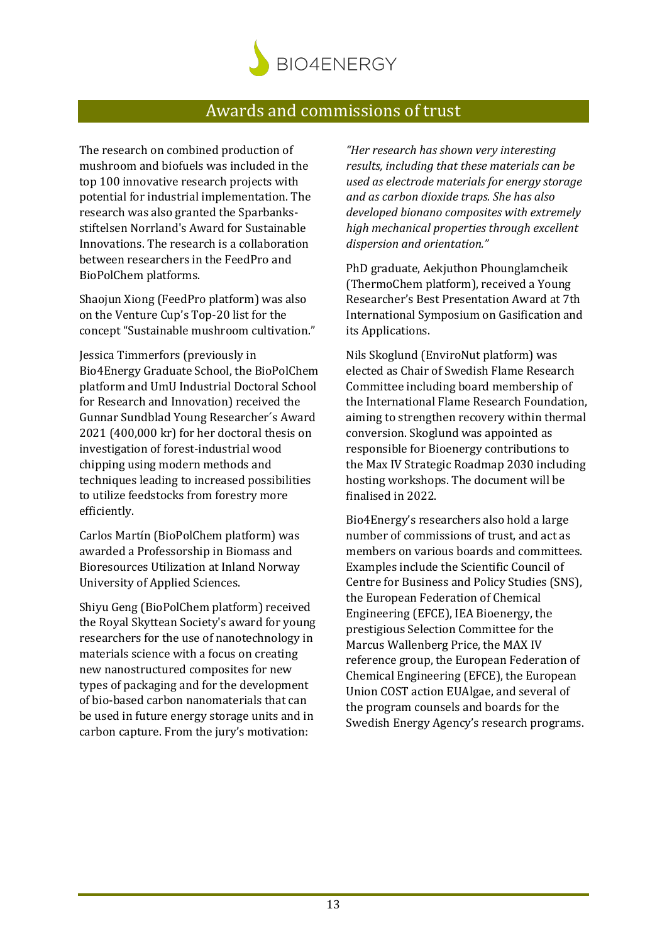

#### Awards and commissions of trust

The research on combined production of mushroom and biofuels was included in the top 100 innovative research projects with potential for industrial implementation. The research was also granted the Sparbanksstiftelsen Norrland's Award for Sustainable Innovations. The research is a collaboration between researchers in the FeedPro and BioPolChem platforms.

Shaojun Xiong (FeedPro platform) was also on the Venture Cup's Top-20 list for the concept "Sustainable mushroom cultivation."

Jessica Timmerfors (previously in Bio4Energy Graduate School, the BioPolChem platform and UmU Industrial Doctoral School for Research and Innovation) received the Gunnar Sundblad Young Researcher´s Award 2021 (400,000 kr) for her doctoral thesis on investigation of forest-industrial wood chipping using modern methods and techniques leading to increased possibilities to utilize feedstocks from forestry more efficiently.

Carlos Martín (BioPolChem platform) was awarded a Professorship in Biomass and Bioresources Utilization at Inland Norway University of Applied Sciences.

Shiyu Geng (BioPolChem platform) received the Royal Skyttean Society's award for young researchers for the use of nanotechnology in materials science with a focus on creating new nanostructured composites for new types of packaging and for the development of bio-based carbon nanomaterials that can be used in future energy storage units and in carbon capture. From the jury's motivation:

*"Her research has shown very interesting results, including that these materials can be used as electrode materials for energy storage and as carbon dioxide traps. She has also developed bionano composites with extremely high mechanical properties through excellent dispersion and orientation."*

PhD graduate, Aekjuthon Phounglamcheik (ThermoChem platform), received a Young Researcher's Best Presentation Award at 7th International Symposium on Gasification and its Applications.

Nils Skoglund (EnviroNut platform) was elected as Chair of Swedish Flame Research Committee including board membership of the International Flame Research Foundation, aiming to strengthen recovery within thermal conversion. Skoglund was appointed as responsible for Bioenergy contributions to the Max IV Strategic Roadmap 2030 including hosting workshops. The document will be finalised in 2022.

Bio4Energy's researchers also hold a large number of commissions of trust, and act as members on various boards and committees. Examples include the Scientific Council of Centre for Business and Policy Studies (SNS), the European Federation of Chemical Engineering (EFCE), IEA Bioenergy, the prestigious Selection Committee for the Marcus Wallenberg Price, the MAX IV reference group, the European Federation of Chemical Engineering (EFCE), the European Union COST action EUAlgae, and several of the program counsels and boards for the Swedish Energy Agency's research programs.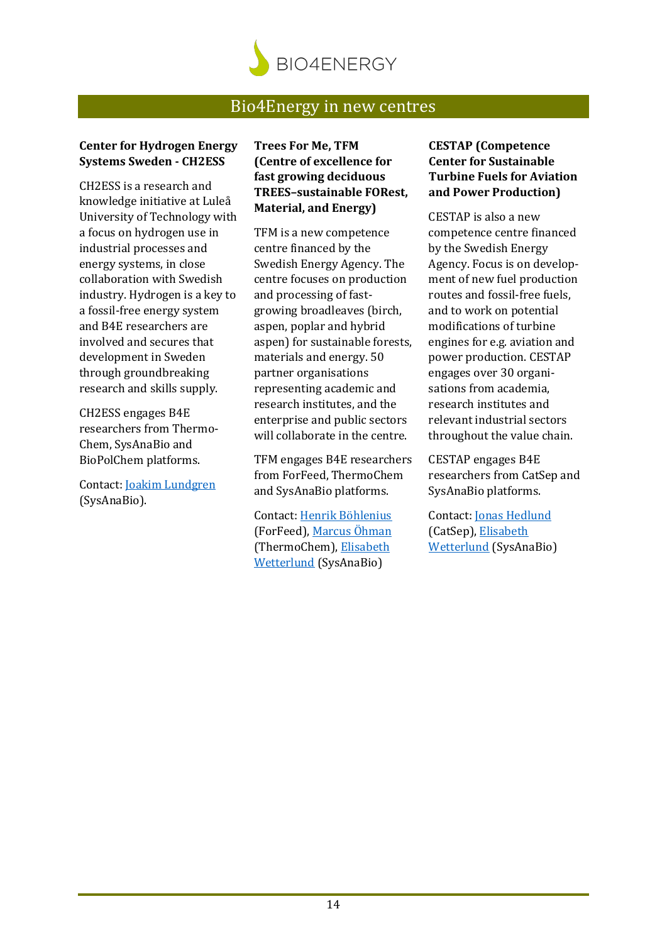

#### Bio4Energy in new centres

#### **Center for Hydrogen Energy Systems Sweden - CH2ESS**

CH2ESS is a research and knowledge initiative at Luleå University of Technology with a focus on hydrogen use in industrial processes and energy systems, in close collaboration with Swedish industry. Hydrogen is a key to a fossil-free energy system and B4E researchers are involved and secures that development in Sweden through groundbreaking research and skills supply.

CH2ESS engages B4E researchers from Thermo-Chem, SysAnaBio and BioPolChem platforms.

Contact: [Joakim Lundgren](mailto:joakim.lundgren@ltu.se) (SysAnaBio).

#### **Trees For Me, TFM (Centre of excellence for fast growing deciduous TREES–sustainable FORest, Material, and Energy)**

TFM is a new competence centre financed by the Swedish Energy Agency. The centre focuses on production and processing of fastgrowing broadleaves (birch, aspen, poplar and hybrid aspen) for sustainable forests, materials and energy. 50 partner organisations representing academic and research institutes, and the enterprise and public sectors will collaborate in the centre.

TFM engages B4E researchers from ForFeed, ThermoChem and SysAnaBio platforms.

Contact: [Henrik Böhlenius](mailto:henrik.bohlenius@slu.se) (ForFeed), [Marcus Öhman](mailto:marcus.ohman@ltu.se) (ThermoChem), [Elisabeth](mailto:elisabeth.wetterlund@ltu.se)  [Wetterlund](mailto:elisabeth.wetterlund@ltu.se) (SysAnaBio)

#### **CESTAP (Competence Center for Sustainable Turbine Fuels for Aviation and Power Production)**

CESTAP is also a new competence centre financed by the Swedish Energy Agency. Focus is on development of new fuel production routes and fossil-free fuels, and to work on potential modifications of turbine engines for e.g. aviation and power production. CESTAP engages over 30 organisations from academia, research institutes and relevant industrial sectors throughout the value chain.

CESTAP engages B4E researchers from CatSep and SysAnaBio platforms.

Contact: [Jonas Hedlund](mailto:jonas.hedlund@ltu.se) (CatSep), [Elisabeth](mailto:elisabeth.wetterlund@ltu.se)  [Wetterlund](mailto:elisabeth.wetterlund@ltu.se) (SysAnaBio)